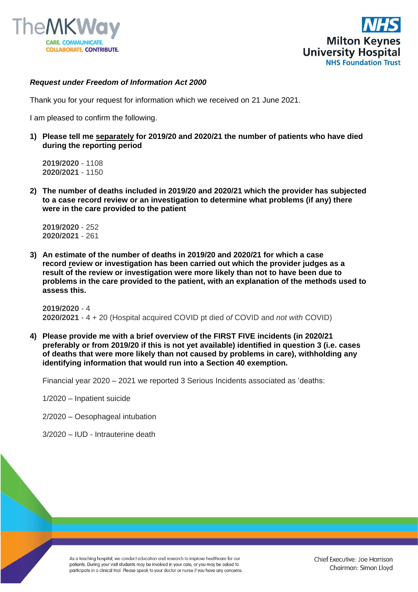



#### *Request under Freedom of Information Act 2000*

Thank you for your request for information which we received on 21 June 2021.

I am pleased to confirm the following.

**1) Please tell me separately for 2019/20 and 2020/21 the number of patients who have died during the reporting period**

**2019/2020** - 1108 **2020/2021** - 1150

**2) The number of deaths included in 2019/20 and 2020/21 which the provider has subjected to a case record review or an investigation to determine what problems (if any) there were in the care provided to the patient**

**2019/2020** - 252 **2020/2021** - 261

**3) An estimate of the number of deaths in 2019/20 and 2020/21 for which a case record review or investigation has been carried out which the provider judges as a result of the review or investigation were more likely than not to have been due to problems in the care provided to the patient, with an explanation of the methods used to assess this.**

**2019/2020** - 4 **2020/2021** - 4 + 20 (Hospital acquired COVID pt died *of* COVID and *not with* COVID)

**4) Please provide me with a brief overview of the FIRST FIVE incidents (in 2020/21 preferably or from 2019/20 if this is not yet available) identified in question 3 (i.e. cases of deaths that were more likely than not caused by problems in care), withholding any identifying information that would run into a Section 40 exemption.**

Financial year 2020 – 2021 we reported 3 Serious Incidents associated as 'deaths:

1/2020 – Inpatient suicide

2/2020 – Oesophageal intubation

3/2020 – IUD - Intrauterine death

As a teaching hospital, we conduct education and research to improve healthcare for our patients. During your visit students may be involved in your care, or you may be asked to participate in a clinical trial. Please speak to your doctor or nurse if you have any concerns.